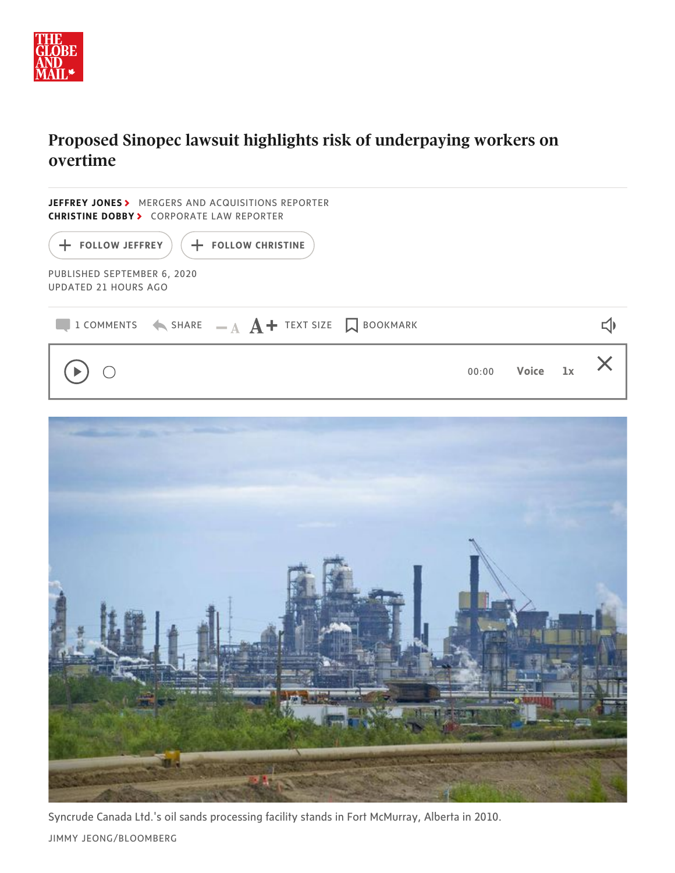

## Proposed Sinopec lawsuit highlights risk of underpaying workers on **overtime**

| JEFFREY JONES> MERGERS AND ACQUISITIONS REPORTER<br><b>CHRISTINE DOBBY&gt; CORPORATE LAW REPORTER</b> |                  |          |                         |
|-------------------------------------------------------------------------------------------------------|------------------|----------|-------------------------|
| $($ + FOLLOW JEFFREY<br>+ FOLLOW CHRISTINE                                                            |                  |          |                         |
| PUBLISHED SEPTEMBER 6, 2020<br>UPDATED 21 HOURS AGO                                                   |                  |          |                         |
| <b>Q</b> 1 COMMENTS $\leftarrow$ SHARE $\quad$ $\mathbf{A}$ <b>A</b> $+$ TEXT SIZE $\Box$ BOOKMARK    |                  |          | $\overline{\mathbb{Q}}$ |
| $\bigcirc$                                                                                            | 00:00            | Voice 1x | $\times$                |
|                                                                                                       |                  |          |                         |
|                                                                                                       |                  |          |                         |
|                                                                                                       |                  |          |                         |
|                                                                                                       |                  |          |                         |
|                                                                                                       |                  |          |                         |
|                                                                                                       |                  |          |                         |
|                                                                                                       |                  |          |                         |
|                                                                                                       | <b>N. 1 5307</b> |          |                         |
|                                                                                                       |                  |          |                         |

Syncrude Canada Ltd.'s oil sands processing facility stands in Fort McMurray, Alberta in 2010.

JIMMY JEONG/BLOOMBERG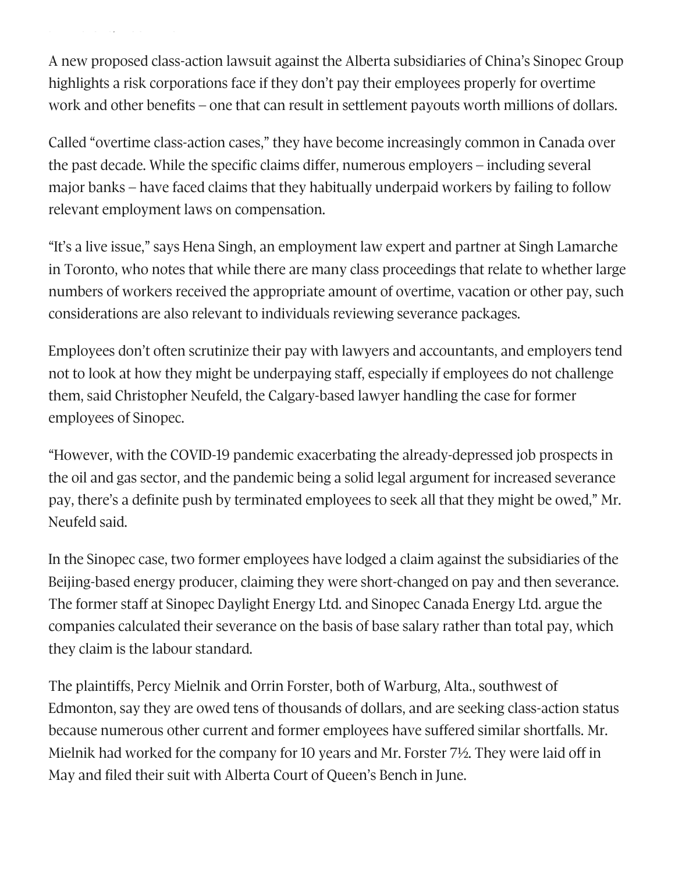A new proposed class-action lawsuit against the Alberta subsidiaries of China's Sinopec Group highlights a risk corporations face if they don't pay their employees properly for overtime work and other benefits – one that can result in settlement payouts worth millions of dollars.

J J O G/ OO G

Called "overtime class-action cases," they have become increasingly common in Canada over the past decade. While the specific claims differ, numerous employers – including several major banks – have faced claims that they habitually underpaid workers by failing to follow relevant employment laws on compensation.

"It's a live issue," says Hena Singh, an employment law expert and partner at Singh Lamarche in Toronto, who notes that while there are many class proceedings that relate to whether large numbers of workers received the appropriate amount of overtime, vacation or other pay, such considerations are also relevant to individuals reviewing severance packages.

Employees don't often scrutinize their pay with lawyers and accountants, and employers tend not to look at how they might be underpaying staff, especially if employees do not challenge them, said Christopher Neufeld, the Calgary-based lawyer handling the case for former employees of Sinopec.

"However, with the COVID-19 pandemic exacerbating the already-depressed job prospects in the oil and gas sector, and the pandemic being a solid legal argument for increased severance pay, there's a definite push by terminated employees to seek all that they might be owed," Mr. Neufeld said.

In the Sinopec case, two former employees have lodged a claim against the subsidiaries of the Beijing-based energy producer, claiming they were short-changed on pay and then severance. The former staff at Sinopec Daylight Energy Ltd. and Sinopec Canada Energy Ltd. argue the companies calculated their severance on the basis of base salary rather than total pay, which they claim is the labour standard.

The plaintiffs, Percy Mielnik and Orrin Forster, both of Warburg, Alta., southwest of Edmonton, say they are owed tens of thousands of dollars, and are seeking class-action status because numerous other current and former employees have suffered similar shortfalls. Mr. Mielnik had worked for the company for 10 years and Mr. Forster 7½. They were laid off in May and filed their suit with Alberta Court of Queen's Bench in June.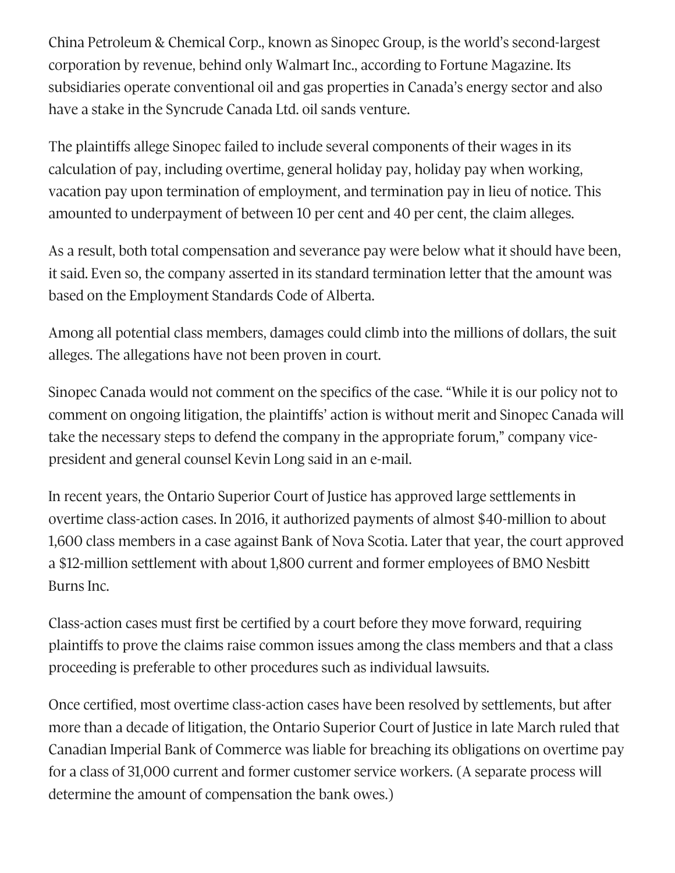China Petroleum & Chemical Corp., known as Sinopec Group, is the world's second-largest corporation by revenue, behind only Walmart Inc., according to Fortune Magazine. Its subsidiaries operate conventional oil and gas properties in Canada's energy sector and also have a stake in the Syncrude Canada Ltd. oil sands venture.

The plaintiffs allege Sinopec failed to include several components of their wages in its calculation of pay, including overtime, general holiday pay, holiday pay when working, vacation pay upon termination of employment, and termination pay in lieu of notice. This amounted to underpayment of between 10 per cent and 40 per cent, the claim alleges.

As a result, both total compensation and severance pay were below what it should have been, it said. Even so, the company asserted in its standard termination letter that the amount was based on the Employment Standards Code of Alberta.

Among all potential class members, damages could climb into the millions of dollars, the suit alleges. The allegations have not been proven in court.

Sinopec Canada would not comment on the specifics of the case. "While it is our policy not to comment on ongoing litigation, the plaintiffs' action is without merit and Sinopec Canada will take the necessary steps to defend the company in the appropriate forum," company vicepresident and general counsel Kevin Long said in an e-mail.

In recent years, the Ontario Superior Court of Justice has approved large settlements in overtime class-action cases. In 2016, it authorized payments of almost \$40-million to about 1,600 class members in a case against Bank of Nova Scotia. Later that year, the court approved a \$12-million settlement with about 1,800 current and former employees of BMO Nesbitt Burns Inc.

Class-action cases must first be certified by a court before they move forward, requiring plaintiffs to prove the claims raise common issues among the class members and that a class proceeding is preferable to other procedures such as individual lawsuits.

Once certified, most overtime class-action cases have been resolved by settlements, but after more than a decade of litigation, the Ontario Superior Court of Justice in late March ruled that Canadian Imperial Bank of Commerce was liable for breaching its obligations on overtime pay for a class of 31,000 current and former customer service workers. (A separate process will determine the amount of compensation the bank owes.)